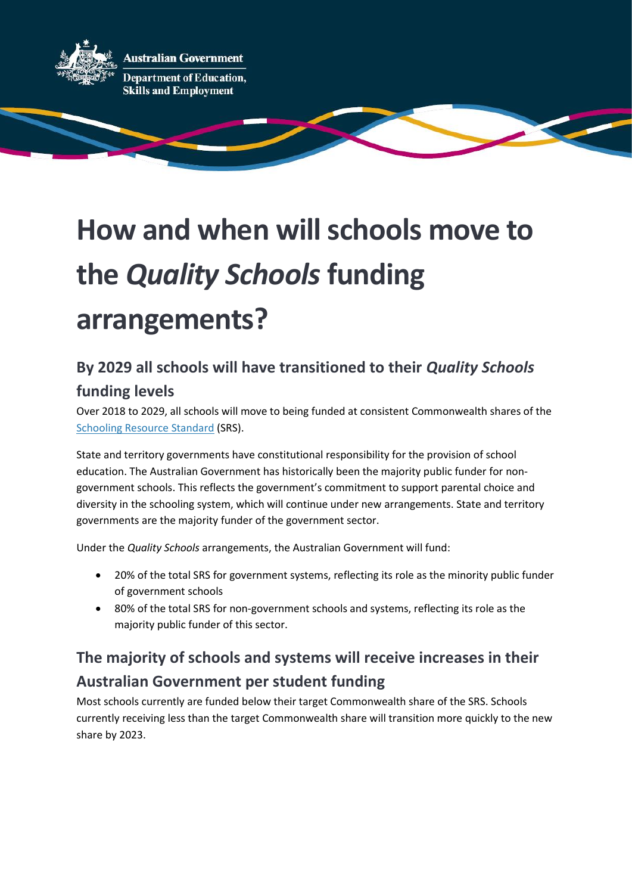

# **How and when will schools move to the** *Quality Schools***funding arrangements?**

#### **By 2029 all schools will have transitioned to their** *Quality Schools* **funding levels**

Over 2018 to 2029, all schools will move to being funded at consistent Commonwealth shares of the [Schooling Resource Standard](https://www.dese.gov.au/quality-schools-package/fact-sheets/what-schooling-resource-standard-and-how-does-it-work) (SRS).

State and territory governments have constitutional responsibility for the provision of school education. The Australian Government has historically been the majority public funder for nongovernment schools. This reflects the government's commitment to support parental choice and diversity in the schooling system, which will continue under new arrangements. State and territory governments are the majority funder of the government sector.

Under the *Quality Schools* arrangements, the Australian Government will fund:

- 20% of the total SRS for government systems, reflecting its role as the minority public funder of government schools
- 80% of the total SRS for non-government schools and systems, reflecting its role as the majority public funder of this sector.

### **The majority of schools and systems will receive increases in their Australian Government per student funding**

Most schools currently are funded below their target Commonwealth share of the SRS. Schools currently receiving less than the target Commonwealth share will transition more quickly to the new share by 2023.